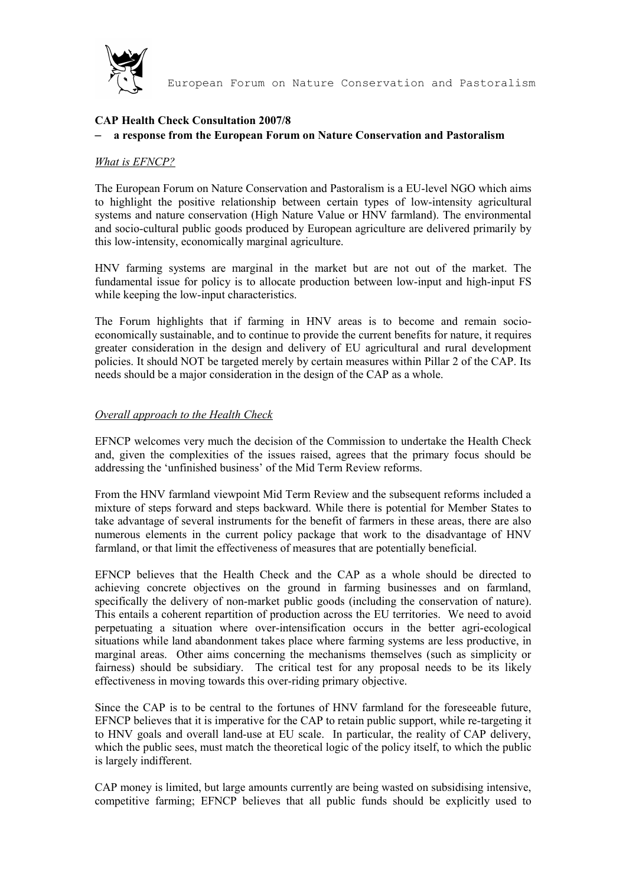

# **CAP Health Check Consultation 2007/8**

#### – **a response from the European Forum on Nature Conservation and Pastoralism**

#### *What is EFNCP?*

The European Forum on Nature Conservation and Pastoralism is a EU-level NGO which aims to highlight the positive relationship between certain types of low-intensity agricultural systems and nature conservation (High Nature Value or HNV farmland). The environmental and socio-cultural public goods produced by European agriculture are delivered primarily by this low-intensity, economically marginal agriculture.

HNV farming systems are marginal in the market but are not out of the market. The fundamental issue for policy is to allocate production between low-input and high-input FS while keeping the low-input characteristics.

The Forum highlights that if farming in HNV areas is to become and remain socioeconomically sustainable, and to continue to provide the current benefits for nature, it requires greater consideration in the design and delivery of EU agricultural and rural development policies. It should NOT be targeted merely by certain measures within Pillar 2 of the CAP. Its needs should be a major consideration in the design of the CAP as a whole.

#### *Overall approach to the Health Check*

EFNCP welcomes very much the decision of the Commission to undertake the Health Check and, given the complexities of the issues raised, agrees that the primary focus should be addressing the 'unfinished business' of the Mid Term Review reforms.

From the HNV farmland viewpoint Mid Term Review and the subsequent reforms included a mixture of steps forward and steps backward. While there is potential for Member States to take advantage of several instruments for the benefit of farmers in these areas, there are also numerous elements in the current policy package that work to the disadvantage of HNV farmland, or that limit the effectiveness of measures that are potentially beneficial.

EFNCP believes that the Health Check and the CAP as a whole should be directed to achieving concrete objectives on the ground in farming businesses and on farmland, specifically the delivery of non-market public goods (including the conservation of nature). This entails a coherent repartition of production across the EU territories. We need to avoid perpetuating a situation where over-intensification occurs in the better agri-ecological situations while land abandonment takes place where farming systems are less productive, in marginal areas. Other aims concerning the mechanisms themselves (such as simplicity or fairness) should be subsidiary. The critical test for any proposal needs to be its likely effectiveness in moving towards this over-riding primary objective.

Since the CAP is to be central to the fortunes of HNV farmland for the foreseeable future, EFNCP believes that it is imperative for the CAP to retain public support, while re-targeting it to HNV goals and overall land-use at EU scale. In particular, the reality of CAP delivery, which the public sees, must match the theoretical logic of the policy itself, to which the public is largely indifferent.

CAP money is limited, but large amounts currently are being wasted on subsidising intensive, competitive farming; EFNCP believes that all public funds should be explicitly used to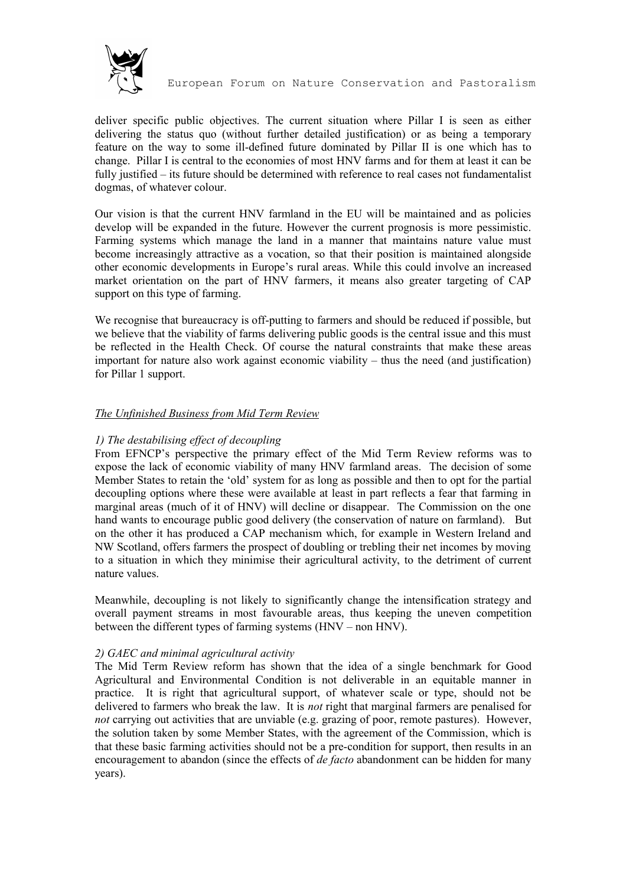

deliver specific public objectives. The current situation where Pillar I is seen as either delivering the status quo (without further detailed justification) or as being a temporary feature on the way to some ill-defined future dominated by Pillar II is one which has to change. Pillar I is central to the economies of most HNV farms and for them at least it can be fully justified – its future should be determined with reference to real cases not fundamentalist dogmas, of whatever colour.

Our vision is that the current HNV farmland in the EU will be maintained and as policies develop will be expanded in the future. However the current prognosis is more pessimistic. Farming systems which manage the land in a manner that maintains nature value must become increasingly attractive as a vocation, so that their position is maintained alongside other economic developments in Europe's rural areas. While this could involve an increased market orientation on the part of HNV farmers, it means also greater targeting of CAP support on this type of farming.

We recognise that bureaucracy is off-putting to farmers and should be reduced if possible, but we believe that the viability of farms delivering public goods is the central issue and this must be reflected in the Health Check. Of course the natural constraints that make these areas important for nature also work against economic viability – thus the need (and justification) for Pillar 1 support.

# *The Unfinished Business from Mid Term Review*

# *1) The destabilising effect of decoupling*

From EFNCP's perspective the primary effect of the Mid Term Review reforms was to expose the lack of economic viability of many HNV farmland areas. The decision of some Member States to retain the 'old' system for as long as possible and then to opt for the partial decoupling options where these were available at least in part reflects a fear that farming in marginal areas (much of it of HNV) will decline or disappear. The Commission on the one hand wants to encourage public good delivery (the conservation of nature on farmland). But on the other it has produced a CAP mechanism which, for example in Western Ireland and NW Scotland, offers farmers the prospect of doubling or trebling their net incomes by moving to a situation in which they minimise their agricultural activity, to the detriment of current nature values.

Meanwhile, decoupling is not likely to significantly change the intensification strategy and overall payment streams in most favourable areas, thus keeping the uneven competition between the different types of farming systems (HNV – non HNV).

### *2) GAEC and minimal agricultural activity*

The Mid Term Review reform has shown that the idea of a single benchmark for Good Agricultural and Environmental Condition is not deliverable in an equitable manner in practice. It is right that agricultural support, of whatever scale or type, should not be delivered to farmers who break the law. It is *not* right that marginal farmers are penalised for *not* carrying out activities that are unviable (e.g. grazing of poor, remote pastures). However, the solution taken by some Member States, with the agreement of the Commission, which is that these basic farming activities should not be a pre-condition for support, then results in an encouragement to abandon (since the effects of *de facto* abandonment can be hidden for many years).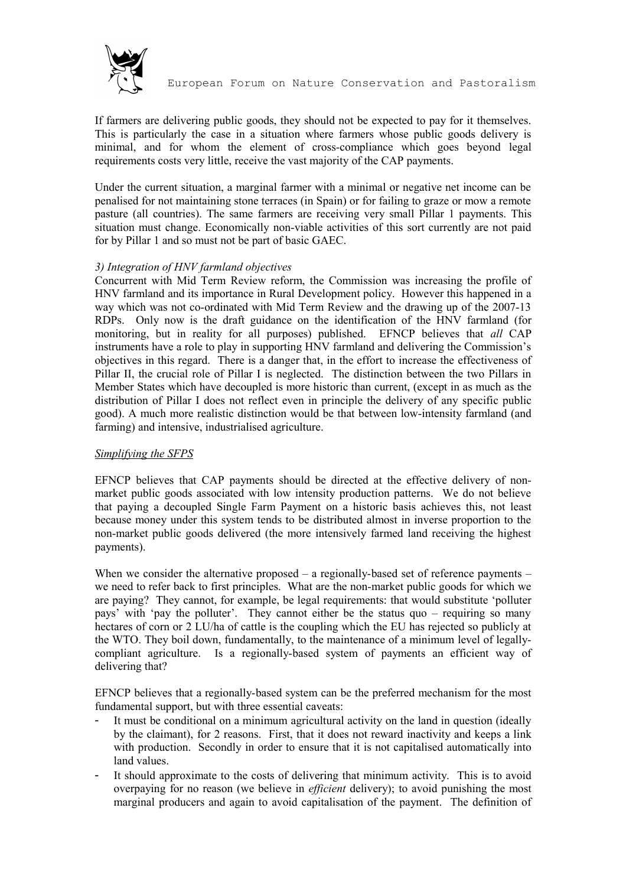

If farmers are delivering public goods, they should not be expected to pay for it themselves. This is particularly the case in a situation where farmers whose public goods delivery is minimal, and for whom the element of cross-compliance which goes beyond legal requirements costs very little, receive the vast majority of the CAP payments.

Under the current situation, a marginal farmer with a minimal or negative net income can be penalised for not maintaining stone terraces (in Spain) or for failing to graze or mow a remote pasture (all countries). The same farmers are receiving very small Pillar 1 payments. This situation must change. Economically non-viable activities of this sort currently are not paid for by Pillar 1 and so must not be part of basic GAEC.

# *3) Integration of HNV farmland objectives*

Concurrent with Mid Term Review reform, the Commission was increasing the profile of HNV farmland and its importance in Rural Development policy. However this happened in a way which was not co-ordinated with Mid Term Review and the drawing up of the 2007-13 RDPs. Only now is the draft guidance on the identification of the HNV farmland (for monitoring, but in reality for all purposes) published. EFNCP believes that *all* CAP instruments have a role to play in supporting HNV farmland and delivering the Commission's objectives in this regard. There is a danger that, in the effort to increase the effectiveness of Pillar II, the crucial role of Pillar I is neglected. The distinction between the two Pillars in Member States which have decoupled is more historic than current, (except in as much as the distribution of Pillar I does not reflect even in principle the delivery of any specific public good). A much more realistic distinction would be that between low-intensity farmland (and farming) and intensive, industrialised agriculture.

### *Simplifying the SFPS*

EFNCP believes that CAP payments should be directed at the effective delivery of nonmarket public goods associated with low intensity production patterns. We do not believe that paying a decoupled Single Farm Payment on a historic basis achieves this, not least because money under this system tends to be distributed almost in inverse proportion to the non-market public goods delivered (the more intensively farmed land receiving the highest payments).

When we consider the alternative proposed – a regionally-based set of reference payments – we need to refer back to first principles. What are the non-market public goods for which we are paying? They cannot, for example, be legal requirements: that would substitute 'polluter pays' with 'pay the polluter'. They cannot either be the status quo – requiring so many hectares of corn or 2 LU/ha of cattle is the coupling which the EU has rejected so publicly at the WTO. They boil down, fundamentally, to the maintenance of a minimum level of legallycompliant agriculture. Is a regionally-based system of payments an efficient way of delivering that?

EFNCP believes that a regionally-based system can be the preferred mechanism for the most fundamental support, but with three essential caveats:

- It must be conditional on a minimum agricultural activity on the land in question (ideally by the claimant), for 2 reasons. First, that it does not reward inactivity and keeps a link with production. Secondly in order to ensure that it is not capitalised automatically into land values.
- It should approximate to the costs of delivering that minimum activity. This is to avoid overpaying for no reason (we believe in *efficient* delivery); to avoid punishing the most marginal producers and again to avoid capitalisation of the payment. The definition of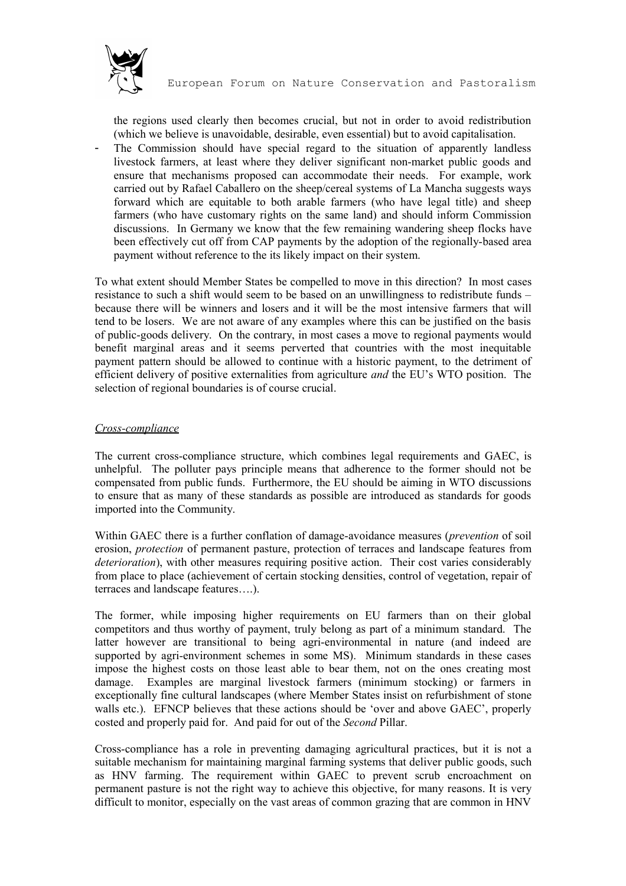

the regions used clearly then becomes crucial, but not in order to avoid redistribution (which we believe is unavoidable, desirable, even essential) but to avoid capitalisation.

The Commission should have special regard to the situation of apparently landless livestock farmers, at least where they deliver significant non-market public goods and ensure that mechanisms proposed can accommodate their needs. For example, work carried out by Rafael Caballero on the sheep/cereal systems of La Mancha suggests ways forward which are equitable to both arable farmers (who have legal title) and sheep farmers (who have customary rights on the same land) and should inform Commission discussions. In Germany we know that the few remaining wandering sheep flocks have been effectively cut off from CAP payments by the adoption of the regionally-based area payment without reference to the its likely impact on their system.

To what extent should Member States be compelled to move in this direction? In most cases resistance to such a shift would seem to be based on an unwillingness to redistribute funds – because there will be winners and losers and it will be the most intensive farmers that will tend to be losers. We are not aware of any examples where this can be justified on the basis of public-goods delivery. On the contrary, in most cases a move to regional payments would benefit marginal areas and it seems perverted that countries with the most inequitable payment pattern should be allowed to continue with a historic payment, to the detriment of efficient delivery of positive externalities from agriculture *and* the EU's WTO position. The selection of regional boundaries is of course crucial.

# *Cross-compliance*

The current cross-compliance structure, which combines legal requirements and GAEC, is unhelpful. The polluter pays principle means that adherence to the former should not be compensated from public funds. Furthermore, the EU should be aiming in WTO discussions to ensure that as many of these standards as possible are introduced as standards for goods imported into the Community.

Within GAEC there is a further conflation of damage-avoidance measures (*prevention* of soil erosion, *protection* of permanent pasture, protection of terraces and landscape features from *deterioration*), with other measures requiring positive action. Their cost varies considerably from place to place (achievement of certain stocking densities, control of vegetation, repair of terraces and landscape features….).

The former, while imposing higher requirements on EU farmers than on their global competitors and thus worthy of payment, truly belong as part of a minimum standard. The latter however are transitional to being agri-environmental in nature (and indeed are supported by agri-environment schemes in some MS). Minimum standards in these cases impose the highest costs on those least able to bear them, not on the ones creating most damage. Examples are marginal livestock farmers (minimum stocking) or farmers in exceptionally fine cultural landscapes (where Member States insist on refurbishment of stone walls etc.). EFNCP believes that these actions should be 'over and above GAEC', properly costed and properly paid for. And paid for out of the *Second* Pillar.

Cross-compliance has a role in preventing damaging agricultural practices, but it is not a suitable mechanism for maintaining marginal farming systems that deliver public goods, such as HNV farming. The requirement within GAEC to prevent scrub encroachment on permanent pasture is not the right way to achieve this objective, for many reasons. It is very difficult to monitor, especially on the vast areas of common grazing that are common in HNV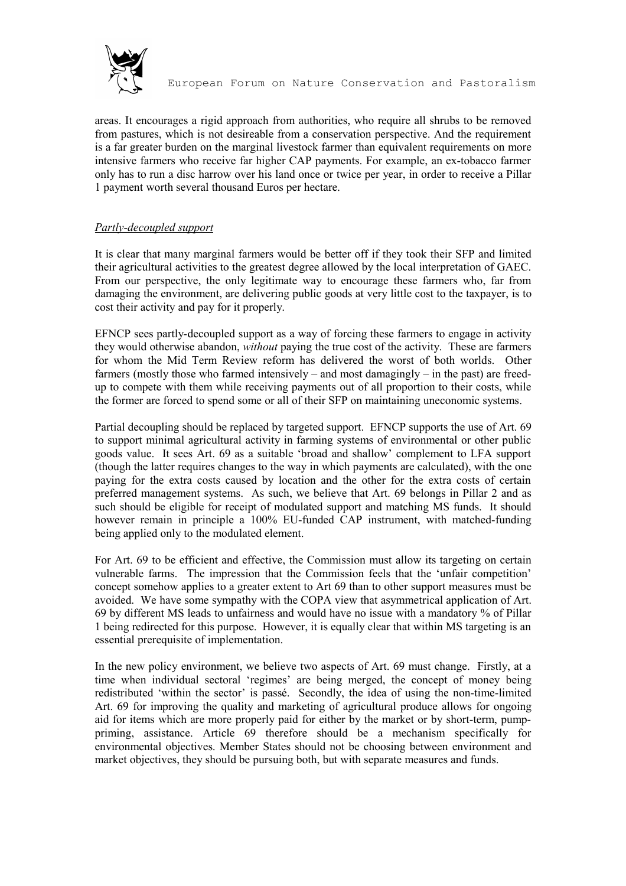

areas. It encourages a rigid approach from authorities, who require all shrubs to be removed from pastures, which is not desireable from a conservation perspective. And the requirement is a far greater burden on the marginal livestock farmer than equivalent requirements on more intensive farmers who receive far higher CAP payments. For example, an ex-tobacco farmer only has to run a disc harrow over his land once or twice per year, in order to receive a Pillar 1 payment worth several thousand Euros per hectare.

# *Partly-decoupled support*

It is clear that many marginal farmers would be better off if they took their SFP and limited their agricultural activities to the greatest degree allowed by the local interpretation of GAEC. From our perspective, the only legitimate way to encourage these farmers who, far from damaging the environment, are delivering public goods at very little cost to the taxpayer, is to cost their activity and pay for it properly.

EFNCP sees partly-decoupled support as a way of forcing these farmers to engage in activity they would otherwise abandon, *without* paying the true cost of the activity. These are farmers for whom the Mid Term Review reform has delivered the worst of both worlds. Other farmers (mostly those who farmed intensively – and most damagingly – in the past) are freedup to compete with them while receiving payments out of all proportion to their costs, while the former are forced to spend some or all of their SFP on maintaining uneconomic systems.

Partial decoupling should be replaced by targeted support. EFNCP supports the use of Art. 69 to support minimal agricultural activity in farming systems of environmental or other public goods value. It sees Art. 69 as a suitable 'broad and shallow' complement to LFA support (though the latter requires changes to the way in which payments are calculated), with the one paying for the extra costs caused by location and the other for the extra costs of certain preferred management systems. As such, we believe that Art. 69 belongs in Pillar 2 and as such should be eligible for receipt of modulated support and matching MS funds. It should however remain in principle a 100% EU-funded CAP instrument, with matched-funding being applied only to the modulated element.

For Art. 69 to be efficient and effective, the Commission must allow its targeting on certain vulnerable farms. The impression that the Commission feels that the 'unfair competition' concept somehow applies to a greater extent to Art 69 than to other support measures must be avoided. We have some sympathy with the COPA view that asymmetrical application of Art. 69 by different MS leads to unfairness and would have no issue with a mandatory % of Pillar 1 being redirected for this purpose. However, it is equally clear that within MS targeting is an essential prerequisite of implementation.

In the new policy environment, we believe two aspects of Art. 69 must change. Firstly, at a time when individual sectoral 'regimes' are being merged, the concept of money being redistributed 'within the sector' is passé. Secondly, the idea of using the non-time-limited Art. 69 for improving the quality and marketing of agricultural produce allows for ongoing aid for items which are more properly paid for either by the market or by short-term, pumppriming, assistance. Article 69 therefore should be a mechanism specifically for environmental objectives. Member States should not be choosing between environment and market objectives, they should be pursuing both, but with separate measures and funds.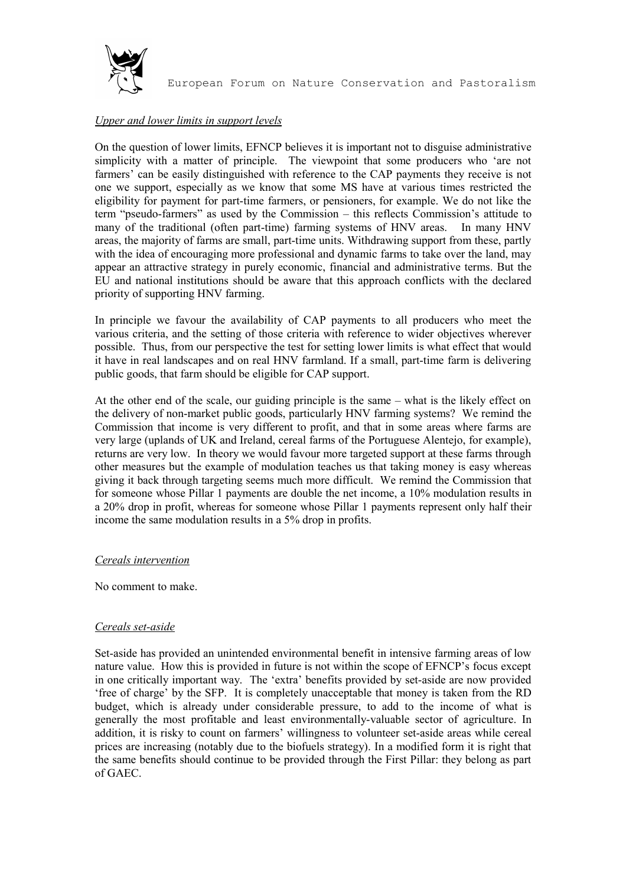

# *Upper and lower limits in support levels*

On the question of lower limits, EFNCP believes it is important not to disguise administrative simplicity with a matter of principle. The viewpoint that some producers who 'are not farmers' can be easily distinguished with reference to the CAP payments they receive is not one we support, especially as we know that some MS have at various times restricted the eligibility for payment for part-time farmers, or pensioners, for example. We do not like the term "pseudo-farmers" as used by the Commission – this reflects Commission's attitude to many of the traditional (often part-time) farming systems of HNV areas. In many HNV areas, the majority of farms are small, part-time units. Withdrawing support from these, partly with the idea of encouraging more professional and dynamic farms to take over the land, may appear an attractive strategy in purely economic, financial and administrative terms. But the EU and national institutions should be aware that this approach conflicts with the declared priority of supporting HNV farming.

In principle we favour the availability of CAP payments to all producers who meet the various criteria, and the setting of those criteria with reference to wider objectives wherever possible. Thus, from our perspective the test for setting lower limits is what effect that would it have in real landscapes and on real HNV farmland. If a small, part-time farm is delivering public goods, that farm should be eligible for CAP support.

At the other end of the scale, our guiding principle is the same – what is the likely effect on the delivery of non-market public goods, particularly HNV farming systems? We remind the Commission that income is very different to profit, and that in some areas where farms are very large (uplands of UK and Ireland, cereal farms of the Portuguese Alentejo, for example), returns are very low. In theory we would favour more targeted support at these farms through other measures but the example of modulation teaches us that taking money is easy whereas giving it back through targeting seems much more difficult. We remind the Commission that for someone whose Pillar 1 payments are double the net income, a 10% modulation results in a 20% drop in profit, whereas for someone whose Pillar 1 payments represent only half their income the same modulation results in a 5% drop in profits.

#### *Cereals intervention*

No comment to make.

### *Cereals set-aside*

Set-aside has provided an unintended environmental benefit in intensive farming areas of low nature value. How this is provided in future is not within the scope of EFNCP's focus except in one critically important way. The 'extra' benefits provided by set-aside are now provided 'free of charge' by the SFP. It is completely unacceptable that money is taken from the RD budget, which is already under considerable pressure, to add to the income of what is generally the most profitable and least environmentally-valuable sector of agriculture. In addition, it is risky to count on farmers' willingness to volunteer set-aside areas while cereal prices are increasing (notably due to the biofuels strategy). In a modified form it is right that the same benefits should continue to be provided through the First Pillar: they belong as part of GAEC.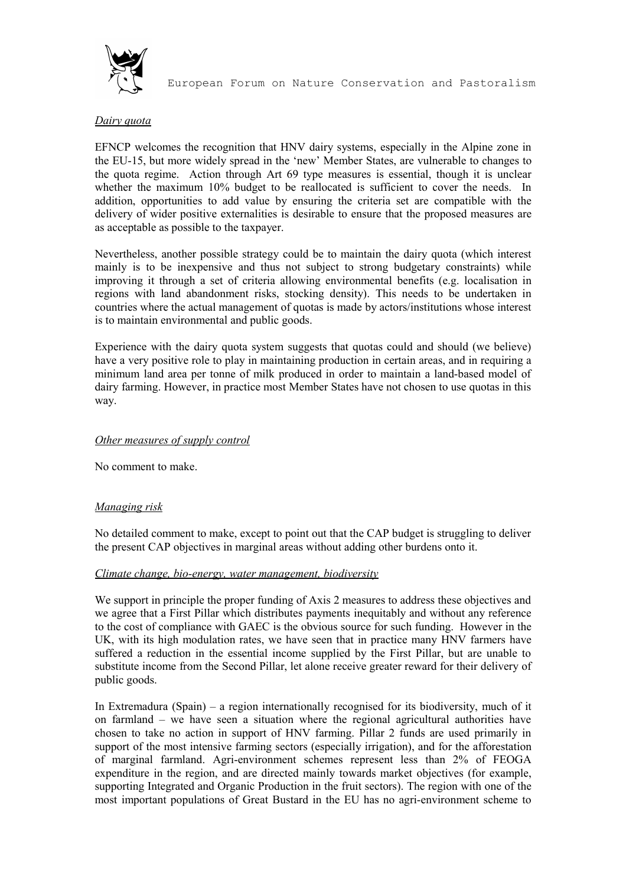

# *Dairy quota*

EFNCP welcomes the recognition that HNV dairy systems, especially in the Alpine zone in the EU-15, but more widely spread in the 'new' Member States, are vulnerable to changes to the quota regime. Action through Art 69 type measures is essential, though it is unclear whether the maximum 10% budget to be reallocated is sufficient to cover the needs. In addition, opportunities to add value by ensuring the criteria set are compatible with the delivery of wider positive externalities is desirable to ensure that the proposed measures are as acceptable as possible to the taxpayer.

Nevertheless, another possible strategy could be to maintain the dairy quota (which interest mainly is to be inexpensive and thus not subject to strong budgetary constraints) while improving it through a set of criteria allowing environmental benefits (e.g. localisation in regions with land abandonment risks, stocking density). This needs to be undertaken in countries where the actual management of quotas is made by actors/institutions whose interest is to maintain environmental and public goods.

Experience with the dairy quota system suggests that quotas could and should (we believe) have a very positive role to play in maintaining production in certain areas, and in requiring a minimum land area per tonne of milk produced in order to maintain a land-based model of dairy farming. However, in practice most Member States have not chosen to use quotas in this way.

## *Other measures of supply control*

No comment to make.

### *Managing risk*

No detailed comment to make, except to point out that the CAP budget is struggling to deliver the present CAP objectives in marginal areas without adding other burdens onto it.

### *Climate change, bio-energy, water management, biodiversity*

We support in principle the proper funding of Axis 2 measures to address these objectives and we agree that a First Pillar which distributes payments inequitably and without any reference to the cost of compliance with GAEC is the obvious source for such funding. However in the UK, with its high modulation rates, we have seen that in practice many HNV farmers have suffered a reduction in the essential income supplied by the First Pillar, but are unable to substitute income from the Second Pillar, let alone receive greater reward for their delivery of public goods.

In Extremadura (Spain) – a region internationally recognised for its biodiversity, much of it on farmland – we have seen a situation where the regional agricultural authorities have chosen to take no action in support of HNV farming. Pillar 2 funds are used primarily in support of the most intensive farming sectors (especially irrigation), and for the afforestation of marginal farmland. Agri-environment schemes represent less than 2% of FEOGA expenditure in the region, and are directed mainly towards market objectives (for example, supporting Integrated and Organic Production in the fruit sectors). The region with one of the most important populations of Great Bustard in the EU has no agri-environment scheme to